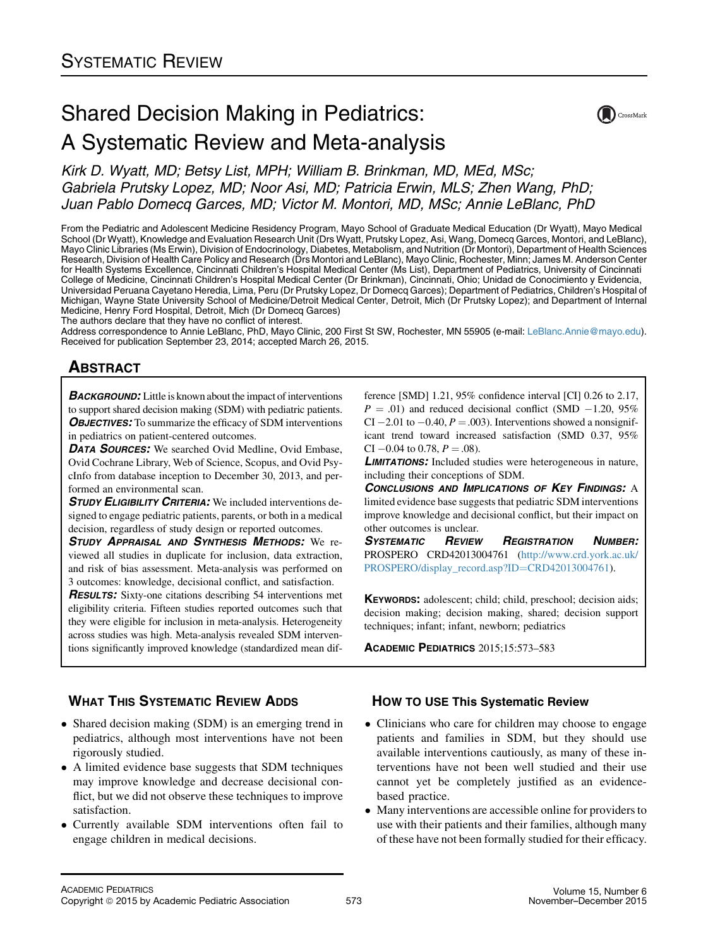# Shared Decision Making in Pediatrics: A Systematic Review and Meta-analysis



Kirk D. Wyatt, MD; Betsy List, MPH; William B. Brinkman, MD, MEd, MSc; Gabriela Prutsky Lopez, MD; Noor Asi, MD; Patricia Erwin, MLS; Zhen Wang, PhD; Juan Pablo Domecq Garces, MD; Victor M. Montori, MD, MSc; Annie LeBlanc, PhD

From the Pediatric and Adolescent Medicine Residency Program, Mayo School of Graduate Medical Education (Dr Wyatt), Mayo Medical School (Dr Wyatt), Knowledge and Evaluation Research Unit (Drs Wyatt, Prutsky Lopez, Asi, Wang, Domecq Garces, Montori, and LeBlanc), Mayo Clinic Libraries (Ms Erwin), Division of Endocrinology, Diabetes, Metabolism, and Nutrition (Dr Montori), Department of Health Sciences Research, Division of Health Care Policy and Research (Drs Montori and LeBlanc), Mayo Clinic, Rochester, Minn; James M. Anderson Center for Health Systems Excellence, Cincinnati Children's Hospital Medical Center (Ms List), Department of Pediatrics, University of Cincinnati College of Medicine, Cincinnati Children's Hospital Medical Center (Dr Brinkman), Cincinnati, Ohio; Unidad de Conocimiento y Evidencia, Universidad Peruana Cayetano Heredia, Lima, Peru (Dr Prutsky Lopez, Dr Domecq Garces); Department of Pediatrics, Children's Hospital of Michigan, Wayne State University School of Medicine/Detroit Medical Center, Detroit, Mich (Dr Prutsky Lopez); and Department of Internal Medicine, Henry Ford Hospital, Detroit, Mich (Dr Domecq Garces)

The authors declare that they have no conflict of interest.

Address correspondence to Annie LeBlanc, PhD, Mayo Clinic, 200 First St SW, Rochester, MN 55905 (e-mail: [LeBlanc.Annie@mayo.edu\)](mailto:LeBlanc.Annie@mayo.edu). Received for publication September 23, 2014; accepted March 26, 2015.

# <u>ABSOLUTE</u>

**BACKGROUND:** Little is known about the impact of interventions to support shared decision making (SDM) with pediatric patients. **OBJECTIVES:** To summarize the efficacy of SDM interventions in pediatrics on patient-centered outcomes.

**DATA SOURCES:** We searched Ovid Medline, Ovid Embase, Ovid Cochrane Library, Web of Science, Scopus, and Ovid PsycInfo from database inception to December 30, 2013, and performed an environmental scan.

STUDY ELIGIBILITY CRITERIA: We included interventions designed to engage pediatric patients, parents, or both in a medical decision, regardless of study design or reported outcomes.

STUDY APPRAISAL AND SYNTHESIS METHODS: We reviewed all studies in duplicate for inclusion, data extraction, and risk of bias assessment. Meta-analysis was performed on 3 outcomes: knowledge, decisional conflict, and satisfaction.

RESULTS: Sixty-one citations describing 54 interventions met eligibility criteria. Fifteen studies reported outcomes such that they were eligible for inclusion in meta-analysis. Heterogeneity across studies was high. Meta-analysis revealed SDM interventions significantly improved knowledge (standardized mean difference [SMD] 1.21, 95% confidence interval [CI] 0.26 to 2.17,  $P = .01$ ) and reduced decisional conflict (SMD  $-1.20$ , 95% CI  $-2.01$  to  $-0.40$ ,  $P = .003$ ). Interventions showed a nonsignificant trend toward increased satisfaction (SMD 0.37, 95% CI  $-0.04$  to 0.78,  $P = .08$ ).

**LIMITATIONS:** Included studies were heterogeneous in nature, including their conceptions of SDM.

CONCLUSIONS AND IMPLICATIONS OF KEY FINDINGS: A limited evidence base suggests that pediatric SDM interventions improve knowledge and decisional conflict, but their impact on other outcomes is unclear.

SYSTEMATIC REVIEW REGISTRATION NUMBER: PROSPERO CRD42013004761 ([http://www.crd.york.ac.uk/](http://www.crd.york.ac.uk/PROSPERO/display_record.asp?ID=CRD42013004761) [PROSPERO/display\\_record.asp?ID](http://www.crd.york.ac.uk/PROSPERO/display_record.asp?ID=CRD42013004761)=[CRD42013004761\)](http://www.crd.york.ac.uk/PROSPERO/display_record.asp?ID=CRD42013004761).

KEYWORDS: adolescent; child; child, preschool; decision aids; decision making; decision making, shared; decision support techniques; infant; infant, newborn; pediatrics

ACADEMIC PEDIATRICS 2015;15:573–583

### **WHAT THIS SYSTEMATIC REVIEW ADDS**

- WHAT THIS SYSTEMATIC REVIEW ADDITION Shared decision making (SDM) is an emerging trend in pediatrics, although most interventions have not been rigorously studied.
- A limited evidence base suggests that SDM techniques may improve knowledge and decrease decisional conflict, but we did not observe these techniques to improve satisfaction.
- Currently available SDM interventions often fail to engage children in medical decisions.

- $\mathcal{L}_{\text{max}}$  Clinicians who care for children may choose to engage patients and families in SDM, but they should use available interventions cautiously, as many of these interventions have not been well studied and their use cannot yet be completely justified as an evidencebased practice.
- Many interventions are accessible online for providers to use with their patients and their families, although many of these have not been formally studied for their efficacy.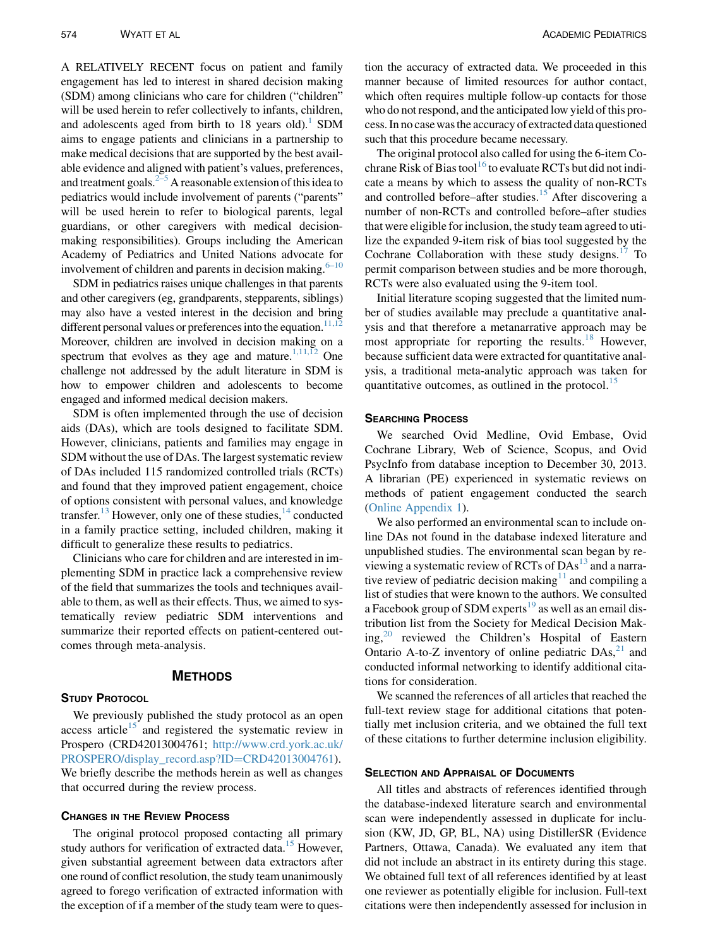A RELATIVELY RECENT focus on patient and family engagement has led to interest in shared decision making (SDM) among clinicians who care for children ("children" will be used herein to refer collectively to infants, children, and adolescents aged from birth to  $18$  years old).<sup>1</sup> SDM aims to engage patients and clinicians in a partnership to make medical decisions that are supported by the best available evidence and aligned with patient's values, preferences, and treatment goals. $2-5$  A reasonable extension of this idea to pediatrics would include involvement of parents ("parents" will be used herein to refer to biological parents, legal guardians, or other caregivers with medical decisionmaking responsibilities). Groups including the American Academy of Pediatrics and United Nations advocate for involvement of children and parents in decision making. $6-10$ 

SDM in pediatrics raises unique challenges in that parents and other caregivers (eg, grandparents, stepparents, siblings) may also have a vested interest in the decision and bring different personal values or preferences into the equation. $11,12$ Moreover, children are involved in decision making on a spectrum that evolves as they age and mature.<sup>1,11, $\overline{12}$ </sup> One challenge not addressed by the adult literature in SDM is how to empower children and adolescents to become engaged and informed medical decision makers.

SDM is often implemented through the use of decision aids (DAs), which are tools designed to facilitate SDM. However, clinicians, patients and families may engage in SDM without the use of DAs. The largest systematic review of DAs included 115 randomized controlled trials (RCTs) and found that they improved patient engagement, choice of options consistent with personal values, and knowledge transfer.<sup>[13](#page-8-0)</sup> However, only one of these studies,  $14$  conducted in a family practice setting, included children, making it difficult to generalize these results to pediatrics.

Clinicians who care for children and are interested in implementing SDM in practice lack a comprehensive review of the field that summarizes the tools and techniques available to them, as well as their effects. Thus, we aimed to systematically review pediatric SDM interventions and summarize their reported effects on patient-centered outcomes through meta-analysis.

## METHODS

We previously published the study protocol as an open access article $15$  and registered the systematic review in Prospero (CRD42013004761; [http://www.crd.york.ac.uk/](http://www.crd.york.ac.uk/PROSPERO/display_record.asp?ID=CRD42013004761) [PROSPERO/display\\_record.asp?ID](http://www.crd.york.ac.uk/PROSPERO/display_record.asp?ID=CRD42013004761)=[CRD42013004761](http://www.crd.york.ac.uk/PROSPERO/display_record.asp?ID=CRD42013004761)). We briefly describe the methods herein as well as changes that occurred during the review process.

The original protocol proposed contacting all primary study authors for verification of extracted data.<sup>[15](#page-8-0)</sup> However, given substantial agreement between data extractors after one round of conflict resolution, the study team unanimously agreed to forego verification of extracted information with the exception of if a member of the study team were to ques-

tion the accuracy of extracted data. We proceeded in this manner because of limited resources for author contact, which often requires multiple follow-up contacts for those who do not respond, and the anticipated low yield of this process. In no casewas the accuracy of extracted data questioned such that this procedure became necessary.

The original protocol also called for using the 6-item Co-chrane Risk of Bias tool<sup>[16](#page-8-0)</sup> to evaluate RCTs but did not indicate a means by which to assess the quality of non-RCTs and controlled before–after studies. $15$  After discovering a number of non-RCTs and controlled before–after studies that were eligible for inclusion, the study team agreed to utilize the expanded 9-item risk of bias tool suggested by the Cochrane Collaboration with these study designs. $17$  To permit comparison between studies and be more thorough, RCTs were also evaluated using the 9-item tool.

Initial literature scoping suggested that the limited number of studies available may preclude a quantitative analysis and that therefore a metanarrative approach may be most appropriate for reporting the results.<sup>[18](#page-8-0)</sup> However, because sufficient data were extracted for quantitative analysis, a traditional meta-analytic approach was taken for quantitative outcomes, as outlined in the protocol.<sup>[15](#page-8-0)</sup>

We searched Ovid Medline, Ovid Embase, Ovid Cochrane Library, Web of Science, Scopus, and Ovid PsycInfo from database inception to December 30, 2013. A librarian (PE) experienced in systematic reviews on methods of patient engagement conducted the search (Online Appendix 1).

We also performed an environmental scan to include online DAs not found in the database indexed literature and unpublished studies. The environmental scan began by reviewing a systematic review of RCTs of  $DAs<sup>13</sup>$  $DAs<sup>13</sup>$  $DAs<sup>13</sup>$  and a narrative review of pediatric decision making $11$  and compiling a list of studies that were known to the authors. We consulted a Facebook group of SDM experts<sup>[19](#page-8-0)</sup> as well as an email distribution list from the Society for Medical Decision Making, $^{20}$  $^{20}$  $^{20}$  reviewed the Children's Hospital of Eastern Ontario A-to-Z inventory of online pediatric  $DAs<sub>1</sub><sup>21</sup>$  $DAs<sub>1</sub><sup>21</sup>$  $DAs<sub>1</sub><sup>21</sup>$  and conducted informal networking to identify additional citations for consideration.

We scanned the references of all articles that reached the full-text review stage for additional citations that potentially met inclusion criteria, and we obtained the full text of these citations to further determine inclusion eligibility.

### **SELECTION AND APPRAISAL OF DOCUMENTS**

All titles and abstracts of references identified through the database-indexed literature search and environmental scan were independently assessed in duplicate for inclusion (KW, JD, GP, BL, NA) using DistillerSR (Evidence Partners, Ottawa, Canada). We evaluated any item that did not include an abstract in its entirety during this stage. We obtained full text of all references identified by at least one reviewer as potentially eligible for inclusion. Full-text citations were then independently assessed for inclusion in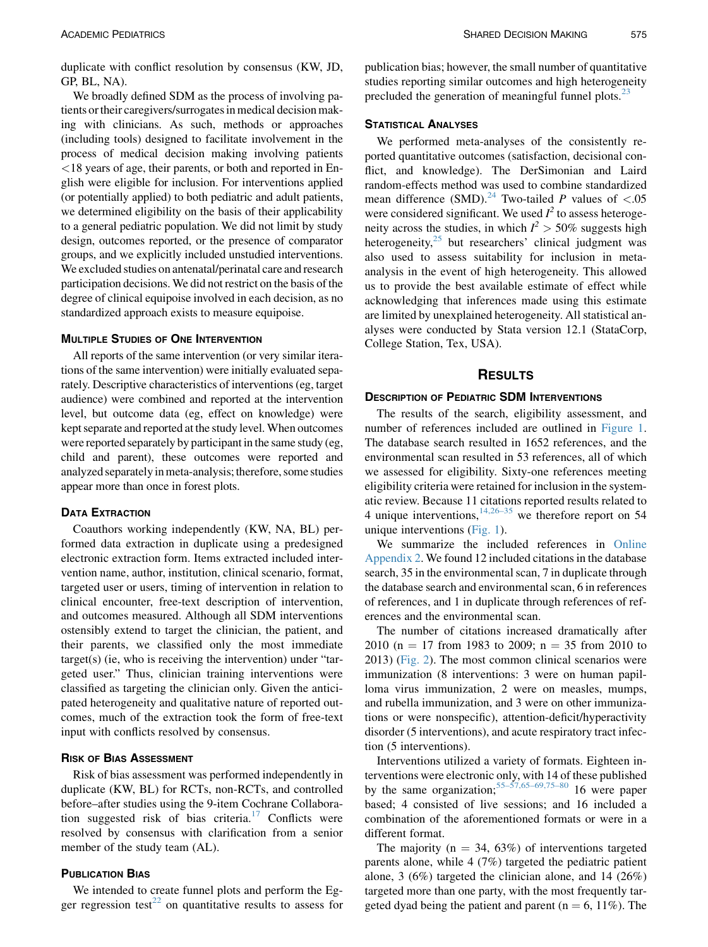duplicate with conflict resolution by consensus (KW, JD, GP, BL, NA).

We broadly defined SDM as the process of involving patients ortheir caregivers/surrogates in medical decision making with clinicians. As such, methods or approaches (including tools) designed to facilitate involvement in the process of medical decision making involving patients <18 years of age, their parents, or both and reported in English were eligible for inclusion. For interventions applied (or potentially applied) to both pediatric and adult patients, we determined eligibility on the basis of their applicability to a general pediatric population. We did not limit by study design, outcomes reported, or the presence of comparator groups, and we explicitly included unstudied interventions. We excluded studies on antenatal/perinatal care and research participation decisions. We did not restrict on the basis of the degree of clinical equipoise involved in each decision, as no standardized approach exists to measure equipoise.

All reports of the same intervention (or very similar iterations of the same intervention) were initially evaluated separately. Descriptive characteristics of interventions (eg, target audience) were combined and reported at the intervention level, but outcome data (eg, effect on knowledge) were kept separate and reported at the study level. When outcomes were reported separately by participant in the same study (eg, child and parent), these outcomes were reported and analyzed separately in meta-analysis; therefore, some studies appear more than once in forest plots.

### **DATA EXTRACTION**

Coauthors working independently (KW, NA, BL) performed data extraction in duplicate using a predesigned electronic extraction form. Items extracted included intervention name, author, institution, clinical scenario, format, targeted user or users, timing of intervention in relation to clinical encounter, free-text description of intervention, and outcomes measured. Although all SDM interventions ostensibly extend to target the clinician, the patient, and their parents, we classified only the most immediate target(s) (ie, who is receiving the intervention) under "targeted user." Thus, clinician training interventions were classified as targeting the clinician only. Given the anticipated heterogeneity and qualitative nature of reported outcomes, much of the extraction took the form of free-text input with conflicts resolved by consensus.

### **RISK OF BIAS ASSESSMENT**

Risk of bias assessment was performed independently in duplicate (KW, BL) for RCTs, non-RCTs, and controlled before–after studies using the 9-item Cochrane Collabora-tion suggested risk of bias criteria.<sup>[17](#page-8-0)</sup> Conflicts were resolved by consensus with clarification from a senior member of the study team (AL).

We intended to create funnel plots and perform the Eg-ger regression test<sup>[22](#page-8-0)</sup> on quantitative results to assess for publication bias; however, the small number of quantitative studies reporting similar outcomes and high heterogeneity precluded the generation of meaningful funnel plots.<sup>[23](#page-8-0)</sup>

We performed meta-analyses of the consistently reported quantitative outcomes (satisfaction, decisional conflict, and knowledge). The DerSimonian and Laird random-effects method was used to combine standardized mean difference (SMD).<sup>[24](#page-8-0)</sup> Two-tailed P values of <.05 were considered significant. We used  $I^2$  to assess heterogeneity across the studies, in which  $I^2 > 50\%$  suggests high heterogeneity, $25$  but researchers' clinical judgment was also used to assess suitability for inclusion in metaanalysis in the event of high heterogeneity. This allowed us to provide the best available estimate of effect while acknowledging that inferences made using this estimate are limited by unexplained heterogeneity. All statistical analyses were conducted by Stata version 12.1 (StataCorp, College Station, Tex, USA).

### **RESULTS**

### **DESCRIPTION OF PEDIATRIC SDM INTERVENTIONS**

The results of the search, eligibility assessment, and number of references included are outlined in [Figure 1](#page-3-0). The database search resulted in 1652 references, and the environmental scan resulted in 53 references, all of which we assessed for eligibility. Sixty-one references meeting eligibility criteria were retained for inclusion in the systematic review. Because 11 citations reported results related to 4 unique interventions,  $14,26-35$  we therefore report on 54 unique interventions ([Fig. 1](#page-3-0)).

We summarize the included references in Online Appendix 2. We found 12 included citations in the database search, 35 in the environmental scan, 7 in duplicate through the database search and environmental scan, 6 in references of references, and 1 in duplicate through references of references and the environmental scan.

The number of citations increased dramatically after 2010 (n = 17 from 1983 to 2009; n = 35 from 2010 to 2013) [\(Fig. 2\)](#page-4-0). The most common clinical scenarios were immunization (8 interventions: 3 were on human papilloma virus immunization, 2 were on measles, mumps, and rubella immunization, and 3 were on other immunizations or were nonspecific), attention-deficit/hyperactivity disorder (5 interventions), and acute respiratory tract infection (5 interventions).

Interventions utilized a variety of formats. Eighteen interventions were electronic only, with 14 of these published by the same organization;  $55-57,65-69,75-80$  16 were paper based; 4 consisted of live sessions; and 16 included a combination of the aforementioned formats or were in a different format.

The majority ( $n = 34, 63\%$ ) of interventions targeted parents alone, while 4 (7%) targeted the pediatric patient alone, 3 (6%) targeted the clinician alone, and 14 (26%) targeted more than one party, with the most frequently targeted dyad being the patient and parent ( $n = 6, 11\%$ ). The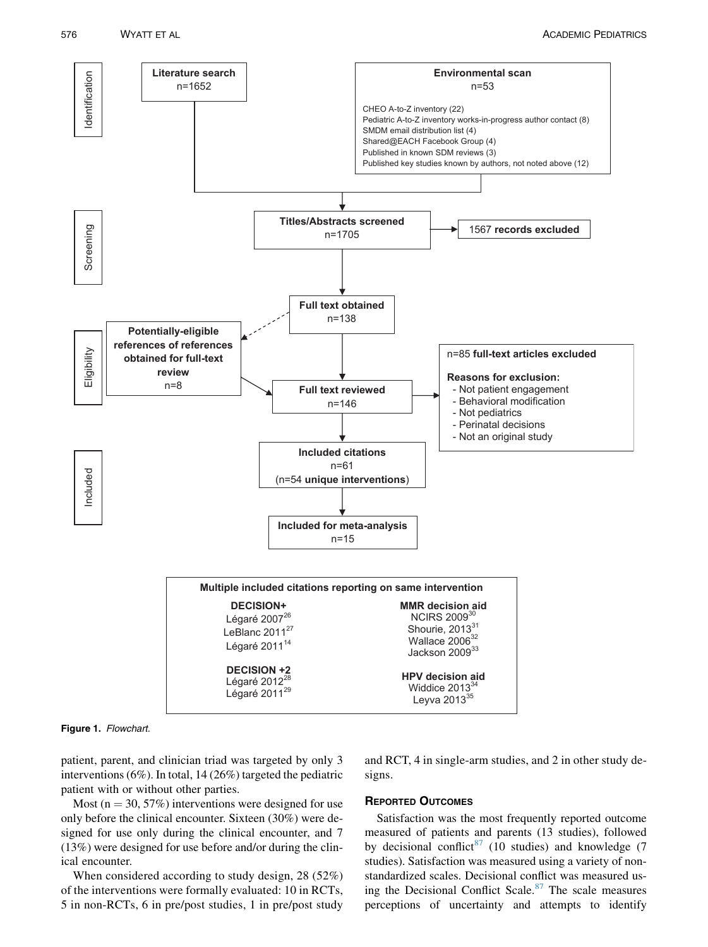<span id="page-3-0"></span>



patient, parent, and clinician triad was targeted by only 3 interventions (6%). In total, 14 (26%) targeted the pediatric patient with or without other parties.

Most ( $n = 30, 57\%$ ) interventions were designed for use only before the clinical encounter. Sixteen (30%) were designed for use only during the clinical encounter, and 7 (13%) were designed for use before and/or during the clinical encounter.

When considered according to study design, 28 (52%) of the interventions were formally evaluated: 10 in RCTs, 5 in non-RCTs, 6 in pre/post studies, 1 in pre/post study

and RCT, 4 in single-arm studies, and 2 in other study designs.

Satisfaction was the most frequently reported outcome measured of patients and parents (13 studies), followed by decisional conflict<sup>[87](#page-9-0)</sup> (10 studies) and knowledge (7 studies). Satisfaction was measured using a variety of nonstandardized scales. Decisional conflict was measured us-ing the Decisional Conflict Scale.<sup>[87](#page-9-0)</sup> The scale measures perceptions of uncertainty and attempts to identify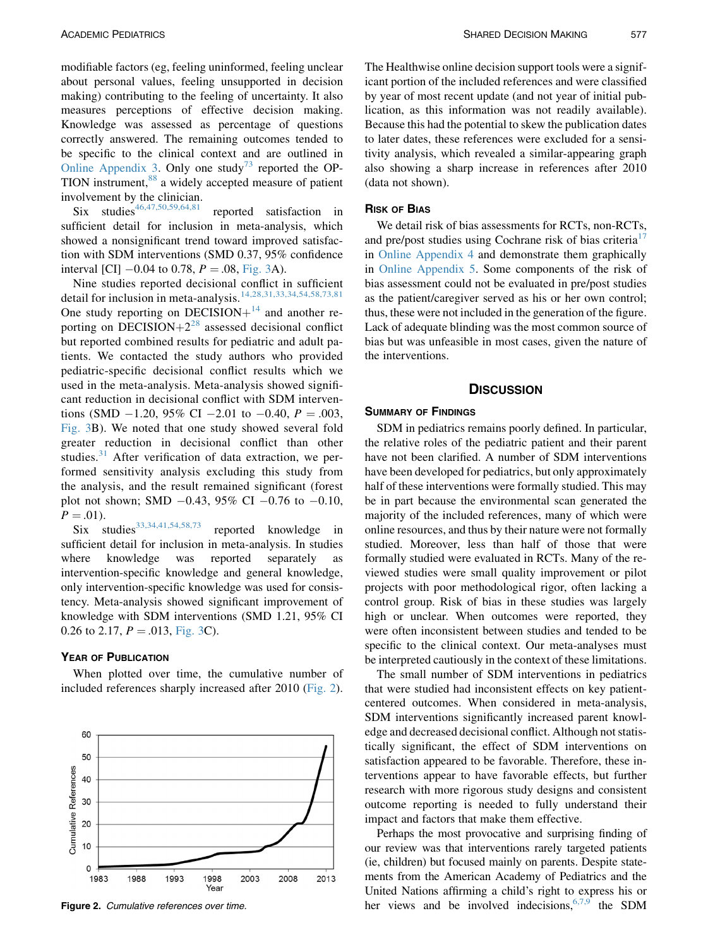<span id="page-4-0"></span>modifiable factors (eg, feeling uninformed, feeling unclear about personal values, feeling unsupported in decision making) contributing to the feeling of uncertainty. It also measures perceptions of effective decision making. Knowledge was assessed as percentage of questions correctly answered. The remaining outcomes tended to be specific to the clinical context and are outlined in Online Appendix 3. Only one study<sup>[73](#page-9-0)</sup> reported the OP-TION instrument,<sup>[88](#page-9-0)</sup> a widely accepted measure of patient involvement by the clinician.

Six studies<sup>[46,47,50,59,64,81](#page-8-0)</sup> reported satisfaction in sufficient detail for inclusion in meta-analysis, which showed a nonsignificant trend toward improved satisfaction with SDM interventions (SMD 0.37, 95% confidence interval [CI]  $-0.04$  to 0.78,  $P = .08$ , [Fig. 3](#page-5-0)A).

Nine studies reported decisional conflict in sufficient detail for inclusion in meta-analysis.[14,28,31,33,34,54,58,73,81](#page-8-0) One study reporting on DECISION $+$ <sup>[14](#page-8-0)</sup> and another reporting on DECISION $+2^{28}$  $+2^{28}$  $+2^{28}$  assessed decisional conflict but reported combined results for pediatric and adult patients. We contacted the study authors who provided pediatric-specific decisional conflict results which we used in the meta-analysis. Meta-analysis showed significant reduction in decisional conflict with SDM interventions (SMD  $-1.20$ , 95% CI  $-2.01$  to  $-0.40$ ,  $P = .003$ , [Fig. 3B](#page-5-0)). We noted that one study showed several fold greater reduction in decisional conflict than other studies. $31$  After verification of data extraction, we performed sensitivity analysis excluding this study from the analysis, and the result remained significant (forest plot not shown; SMD  $-0.43$ , 95% CI  $-0.76$  to  $-0.10$ ,  $P = .01$ ).

Six studies<sup>[33,34,41,54,58,73](#page-8-0)</sup> reported knowledge in sufficient detail for inclusion in meta-analysis. In studies where knowledge was reported separately as intervention-specific knowledge and general knowledge, only intervention-specific knowledge was used for consistency. Meta-analysis showed significant improvement of knowledge with SDM interventions (SMD 1.21, 95% CI 0.26 to 2.17,  $P = .013$ , [Fig. 3C](#page-5-0)).

### **YEAR OF PUBLICATION**

When plotted over time, the cumulative number of included references sharply increased after 2010 (Fig. 2).



The Healthwise online decision support tools were a significant portion of the included references and were classified by year of most recent update (and not year of initial publication, as this information was not readily available). Because this had the potential to skew the publication dates to later dates, these references were excluded for a sensitivity analysis, which revealed a similar-appearing graph also showing a sharp increase in references after 2010 (data not shown).

### **RISK OF BIAS**

We detail risk of bias assessments for RCTs, non-RCTs, and pre/post studies using Cochrane risk of bias criteria<sup>[17](#page-8-0)</sup> in Online Appendix 4 and demonstrate them graphically in Online Appendix 5. Some components of the risk of bias assessment could not be evaluated in pre/post studies as the patient/caregiver served as his or her own control; thus, these were not included in the generation of the figure. Lack of adequate blinding was the most common source of bias but was unfeasible in most cases, given the nature of the interventions.

### **DISCUSSION** <u>Discussion</u>

SDM in pediatrics remains poorly defined. In particular, the relative roles of the pediatric patient and their parent have not been clarified. A number of SDM interventions have been developed for pediatrics, but only approximately half of these interventions were formally studied. This may be in part because the environmental scan generated the majority of the included references, many of which were online resources, and thus by their nature were not formally studied. Moreover, less than half of those that were formally studied were evaluated in RCTs. Many of the reviewed studies were small quality improvement or pilot projects with poor methodological rigor, often lacking a control group. Risk of bias in these studies was largely high or unclear. When outcomes were reported, they were often inconsistent between studies and tended to be specific to the clinical context. Our meta-analyses must be interpreted cautiously in the context of these limitations.

The small number of SDM interventions in pediatrics that were studied had inconsistent effects on key patientcentered outcomes. When considered in meta-analysis, SDM interventions significantly increased parent knowledge and decreased decisional conflict. Although not statistically significant, the effect of SDM interventions on satisfaction appeared to be favorable. Therefore, these interventions appear to have favorable effects, but further research with more rigorous study designs and consistent outcome reporting is needed to fully understand their impact and factors that make them effective.

Perhaps the most provocative and surprising finding of our review was that interventions rarely targeted patients (ie, children) but focused mainly on parents. Despite statements from the American Academy of Pediatrics and the United Nations affirming a child's right to express his or **Figure 2.** Cumulative references over time. the set of the space of the space of the SDM  $\frac{1}{2}$  for  $\frac{1}{2}$  for  $\frac{1}{2}$  for  $\frac{1}{2}$  for  $\frac{1}{2}$  for  $\frac{1}{2}$  for  $\frac{1}{2}$  for  $\frac{1}{2}$  for  $\frac{1}{2}$  for  $\frac{1$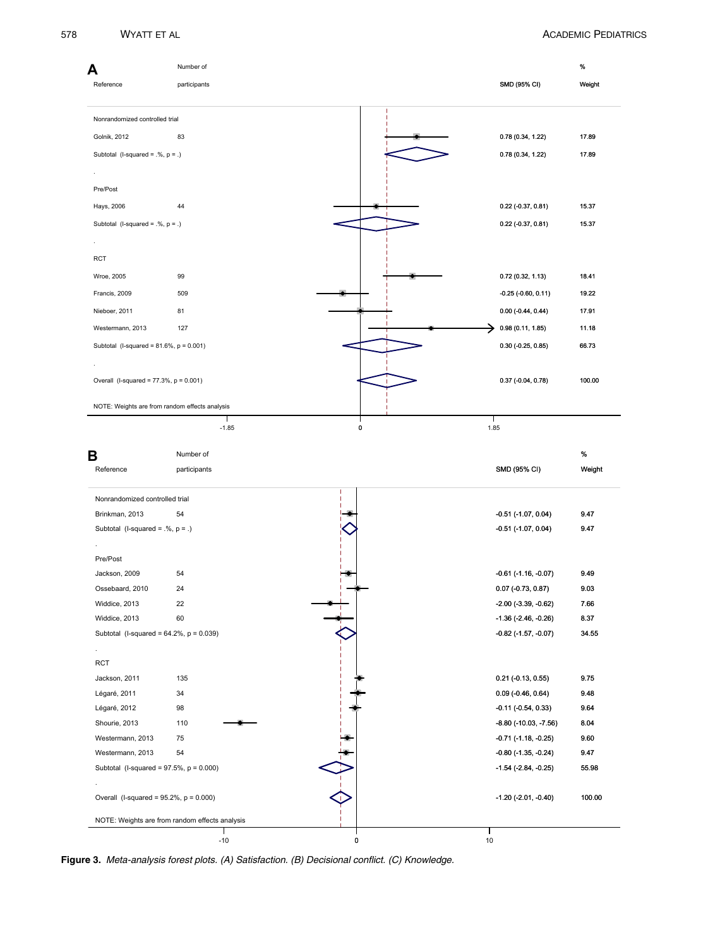<span id="page-5-0"></span>

| А<br>Reference                                                                                                                                                                                                                                                                                                                                                         | Number of<br>participants |           | SMD (95% CI)                   | $\%$<br>Weight |
|------------------------------------------------------------------------------------------------------------------------------------------------------------------------------------------------------------------------------------------------------------------------------------------------------------------------------------------------------------------------|---------------------------|-----------|--------------------------------|----------------|
| Nonrandomized controlled trial                                                                                                                                                                                                                                                                                                                                         |                           |           |                                |                |
|                                                                                                                                                                                                                                                                                                                                                                        |                           |           |                                |                |
| Golnik, 2012                                                                                                                                                                                                                                                                                                                                                           | 83                        |           | 0.78 (0.34, 1.22)              | 17.89          |
| Subtotal (I-squared = $\mathcal{N}, p = .$ )                                                                                                                                                                                                                                                                                                                           |                           |           | 0.78 (0.34, 1.22)              | 17.89          |
|                                                                                                                                                                                                                                                                                                                                                                        |                           |           |                                |                |
| Pre/Post                                                                                                                                                                                                                                                                                                                                                               |                           |           |                                |                |
| Hays, 2006                                                                                                                                                                                                                                                                                                                                                             | 44                        |           | $0.22$ (-0.37, 0.81)           | 15.37          |
| Subtotal (I-squared = $\mathcal{N}, p = .$ )                                                                                                                                                                                                                                                                                                                           |                           |           | 0.22 (-0.37, 0.81)             | 15.37          |
|                                                                                                                                                                                                                                                                                                                                                                        |                           |           |                                |                |
| RCT                                                                                                                                                                                                                                                                                                                                                                    |                           |           |                                |                |
| Wroe, 2005                                                                                                                                                                                                                                                                                                                                                             | 99                        |           | 0.72(0.32, 1.13)               | 18.41          |
|                                                                                                                                                                                                                                                                                                                                                                        |                           |           |                                |                |
| Francis, 2009                                                                                                                                                                                                                                                                                                                                                          | 509                       |           | $-0.25$ ( $-0.60, 0.11$ )      | 19.22          |
| Nieboer, 2011                                                                                                                                                                                                                                                                                                                                                          | 81                        |           | $0.00 (-0.44, 0.44)$           | 17.91          |
| Westermann, 2013                                                                                                                                                                                                                                                                                                                                                       | 127                       |           | 0.98(0.11, 1.85)               | 11.18          |
| Subtotal (I-squared = $81.6\%$ , $p = 0.001$ )                                                                                                                                                                                                                                                                                                                         |                           |           | $0.30$ (-0.25, 0.85)           | 66.73          |
| Overall (I-squared = $77.3\%$ , $p = 0.001$ )                                                                                                                                                                                                                                                                                                                          |                           |           | $0.37$ (-0.04, 0.78)           | 100.00         |
| NOTE: Weights are from random effects analysis                                                                                                                                                                                                                                                                                                                         |                           |           |                                |                |
|                                                                                                                                                                                                                                                                                                                                                                        |                           |           |                                |                |
|                                                                                                                                                                                                                                                                                                                                                                        | $-1.85$                   | $\pmb{0}$ | 1.85                           |                |
|                                                                                                                                                                                                                                                                                                                                                                        |                           |           |                                |                |
|                                                                                                                                                                                                                                                                                                                                                                        | Number of                 |           |                                | %              |
| В<br>Reference                                                                                                                                                                                                                                                                                                                                                         | participants              |           | SMD (95% CI)                   | Weight         |
| Nonrandomized controlled trial                                                                                                                                                                                                                                                                                                                                         |                           |           |                                |                |
|                                                                                                                                                                                                                                                                                                                                                                        | 54                        |           | $-0.51$ ( $-1.07$ , $0.04$ )   | 9.47           |
|                                                                                                                                                                                                                                                                                                                                                                        |                           |           | $-0.51$ ( $-1.07$ , $0.04$ )   | 9.47           |
|                                                                                                                                                                                                                                                                                                                                                                        |                           |           |                                |                |
|                                                                                                                                                                                                                                                                                                                                                                        |                           |           |                                |                |
|                                                                                                                                                                                                                                                                                                                                                                        | 54                        |           | $-0.61$ ( $-1.16$ , $-0.07$ )  | 9.49           |
|                                                                                                                                                                                                                                                                                                                                                                        | 24                        |           | $0.07$ (-0.73, 0.87)           | 9.03           |
|                                                                                                                                                                                                                                                                                                                                                                        | 22                        |           | $-2.00$ $(-3.39, -0.62)$       | 7.66           |
|                                                                                                                                                                                                                                                                                                                                                                        | 60                        |           | $-1.36$ ( $-2.46$ , $-0.26$ )  | 8.37           |
|                                                                                                                                                                                                                                                                                                                                                                        |                           |           | $-0.82$ ( $-1.57$ , $-0.07$ )  | 34.55          |
|                                                                                                                                                                                                                                                                                                                                                                        |                           |           |                                |                |
|                                                                                                                                                                                                                                                                                                                                                                        |                           |           |                                |                |
|                                                                                                                                                                                                                                                                                                                                                                        | 135                       |           | $0.21$ (-0.13, 0.55)           | 9.75           |
|                                                                                                                                                                                                                                                                                                                                                                        | 34                        |           | $0.09$ (-0.46, 0.64)           | 9.48           |
|                                                                                                                                                                                                                                                                                                                                                                        | 98                        |           | $-0.11$ $(-0.54, 0.33)$        | 9.64           |
|                                                                                                                                                                                                                                                                                                                                                                        | 110                       |           | $-8.80$ ( $-10.03$ , $-7.56$ ) | 8.04           |
|                                                                                                                                                                                                                                                                                                                                                                        | 75                        |           | $-0.71$ ( $-1.18$ , $-0.25$ )  | 9.60           |
|                                                                                                                                                                                                                                                                                                                                                                        | 54                        |           | $-0.80$ ( $-1.35$ , $-0.24$ )  | 9.47           |
| Brinkman, 2013<br>Subtotal (I-squared = $.%$ , $p = .$ )<br>Pre/Post<br>Jackson, 2009<br>Ossebaard, 2010<br>Widdice, 2013<br>Widdice, 2013<br>Subtotal (I-squared = $64.2\%$ , $p = 0.039$ )<br><b>RCT</b><br>Jackson, 2011<br>Légaré, 2011<br>Légaré, 2012<br>Shourie, 2013<br>Westermann, 2013<br>Westermann, 2013<br>Subtotal (I-squared = $97.5\%$ , $p = 0.000$ ) |                           |           | $-1.54$ ( $-2.84$ , $-0.25$ )  | 55.98          |
|                                                                                                                                                                                                                                                                                                                                                                        |                           |           |                                |                |
| Overall (I-squared = $95.2\%$ , $p = 0.000$ )                                                                                                                                                                                                                                                                                                                          |                           |           | $-1.20$ ( $-2.01$ , $-0.40$ )  | 100.00         |

Figure 3. Meta-analysis forest plots. (A) Satisfaction. (B) Decisional conflict. (C) Knowledge.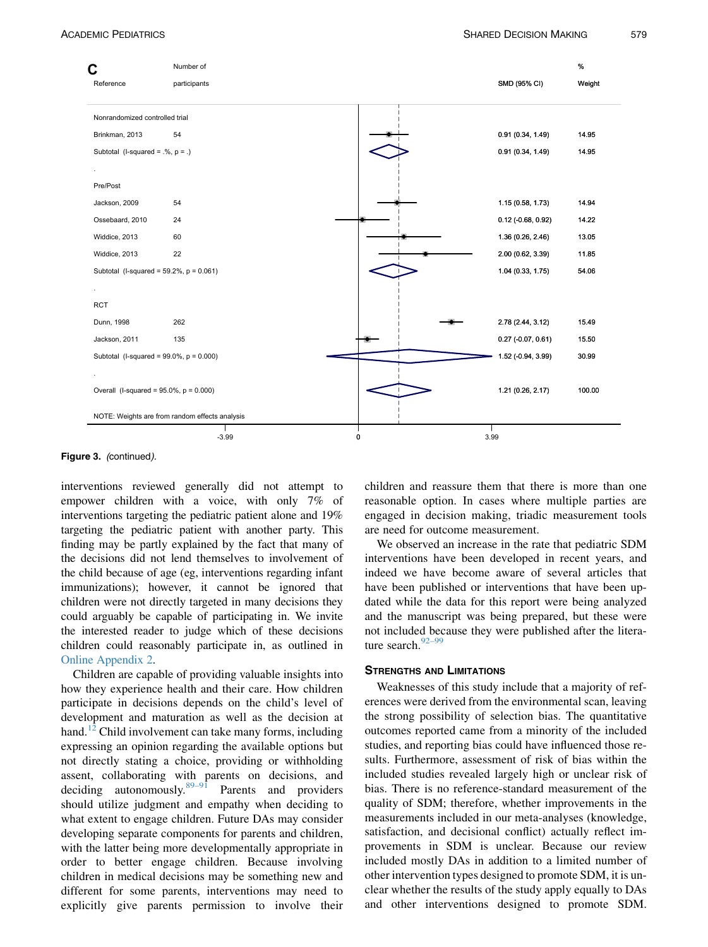

Figure 3. (continued).

interventions reviewed generally did not attempt to empower children with a voice, with only 7% of interventions targeting the pediatric patient alone and 19% targeting the pediatric patient with another party. This finding may be partly explained by the fact that many of the decisions did not lend themselves to involvement of the child because of age (eg, interventions regarding infant immunizations); however, it cannot be ignored that children were not directly targeted in many decisions they could arguably be capable of participating in. We invite the interested reader to judge which of these decisions children could reasonably participate in, as outlined in Online Appendix 2.

Children are capable of providing valuable insights into how they experience health and their care. How children participate in decisions depends on the child's level of development and maturation as well as the decision at hand.<sup>[12](#page-8-0)</sup> Child involvement can take many forms, including expressing an opinion regarding the available options but not directly stating a choice, providing or withholding assent, collaborating with parents on decisions, and deciding autonomously.[89–91](#page-10-0) Parents and providers should utilize judgment and empathy when deciding to what extent to engage children. Future DAs may consider developing separate components for parents and children, with the latter being more developmentally appropriate in order to better engage children. Because involving children in medical decisions may be something new and different for some parents, interventions may need to explicitly give parents permission to involve their

children and reassure them that there is more than one reasonable option. In cases where multiple parties are engaged in decision making, triadic measurement tools are need for outcome measurement.

We observed an increase in the rate that pediatric SDM interventions have been developed in recent years, and indeed we have become aware of several articles that have been published or interventions that have been updated while the data for this report were being analyzed and the manuscript was being prepared, but these were not included because they were published after the litera-ture search.<sup>[92–99](#page-10-0)</sup>

Weaknesses of this study include that a majority of references were derived from the environmental scan, leaving the strong possibility of selection bias. The quantitative outcomes reported came from a minority of the included studies, and reporting bias could have influenced those results. Furthermore, assessment of risk of bias within the included studies revealed largely high or unclear risk of bias. There is no reference-standard measurement of the quality of SDM; therefore, whether improvements in the measurements included in our meta-analyses (knowledge, satisfaction, and decisional conflict) actually reflect improvements in SDM is unclear. Because our review included mostly DAs in addition to a limited number of other intervention types designed to promote SDM, it is unclear whether the results of the study apply equally to DAs and other interventions designed to promote SDM.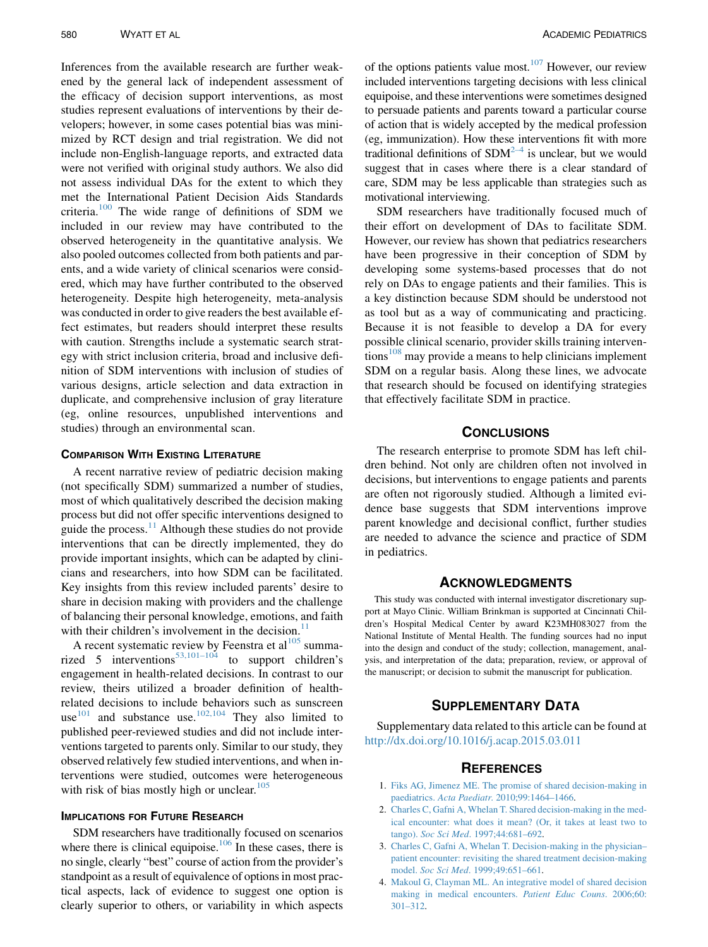<span id="page-7-0"></span>Inferences from the available research are further weakened by the general lack of independent assessment of the efficacy of decision support interventions, as most studies represent evaluations of interventions by their developers; however, in some cases potential bias was minimized by RCT design and trial registration. We did not include non-English-language reports, and extracted data were not verified with original study authors. We also did not assess individual DAs for the extent to which they met the International Patient Decision Aids Standards criteria.[100](#page-10-0) The wide range of definitions of SDM we included in our review may have contributed to the observed heterogeneity in the quantitative analysis. We also pooled outcomes collected from both patients and parents, and a wide variety of clinical scenarios were considered, which may have further contributed to the observed heterogeneity. Despite high heterogeneity, meta-analysis was conducted in order to give readers the best available effect estimates, but readers should interpret these results with caution. Strengths include a systematic search strategy with strict inclusion criteria, broad and inclusive definition of SDM interventions with inclusion of studies of various designs, article selection and data extraction in duplicate, and comprehensive inclusion of gray literature (eg, online resources, unpublished interventions and studies) through an environmental scan.

A recent narrative review of pediatric decision making (not specifically SDM) summarized a number of studies, most of which qualitatively described the decision making process but did not offer specific interventions designed to guide the process. $11$  Although these studies do not provide interventions that can be directly implemented, they do provide important insights, which can be adapted by clinicians and researchers, into how SDM can be facilitated. Key insights from this review included parents' desire to share in decision making with providers and the challenge of balancing their personal knowledge, emotions, and faith with their children's involvement in the decision. $11$ 

A recent systematic review by Feenstra et  $al<sup>105</sup>$  $al<sup>105</sup>$  $al<sup>105</sup>$  summa-rized 5 interventions<sup>[53,101–104](#page-9-0)</sup> to support children's engagement in health-related decisions. In contrast to our review, theirs utilized a broader definition of healthrelated decisions to include behaviors such as sunscreen use $^{101}$  $^{101}$  $^{101}$  and substance use. $^{102,104}$  $^{102,104}$  $^{102,104}$  They also limited to published peer-reviewed studies and did not include interventions targeted to parents only. Similar to our study, they observed relatively few studied interventions, and when interventions were studied, outcomes were heterogeneous with risk of bias mostly high or unclear. $105$ 

### **IMPLICATIONS FOR FUTURE RESEARCH**

SDM researchers have traditionally focused on scenarios where there is clinical equipoise.<sup>[106](#page-10-0)</sup> In these cases, there is no single, clearly "best" course of action from the provider's standpoint as a result of equivalence of options in most practical aspects, lack of evidence to suggest one option is clearly superior to others, or variability in which aspects

of the options patients value most. $107$  However, our review included interventions targeting decisions with less clinical equipoise, and these interventions were sometimes designed to persuade patients and parents toward a particular course of action that is widely accepted by the medical profession (eg, immunization). How these interventions fit with more traditional definitions of  $SDM<sup>2-4</sup>$  is unclear, but we would suggest that in cases where there is a clear standard of care, SDM may be less applicable than strategies such as motivational interviewing.

SDM researchers have traditionally focused much of their effort on development of DAs to facilitate SDM. However, our review has shown that pediatrics researchers have been progressive in their conception of SDM by developing some systems-based processes that do not rely on DAs to engage patients and their families. This is a key distinction because SDM should be understood not as tool but as a way of communicating and practicing. Because it is not feasible to develop a DA for every possible clinical scenario, provider skills training interven $t$ ions<sup>[108](#page-10-0)</sup> may provide a means to help clinicians implement SDM on a regular basis. Along these lines, we advocate that research should be focused on identifying strategies that effectively facilitate SDM in practice.

The research enterprise to promote SDM has left children behind. Not only are children often not involved in decisions, but interventions to engage patients and parents are often not rigorously studied. Although a limited evidence base suggests that SDM interventions improve parent knowledge and decisional conflict, further studies are needed to advance the science and practice of SDM in pediatrics.

This study was conducted with internal investigator discretionary support at Mayo Clinic. William Brinkman is supported at Cincinnati Children's Hospital Medical Center by award K23MH083027 from the National Institute of Mental Health. The funding sources had no input into the design and conduct of the study; collection, management, analysis, and interpretation of the data; preparation, review, or approval of the manuscript; or decision to submit the manuscript for publication.

### **SUPPLEMENTARY DATA**

Supplementary data related to this article can be found at <http://dx.doi.org/10.1016/j.acap.2015.03.011>

- 1. [Fiks AG, Jimenez ME. The promise of shared decision-making in](http://refhub.elsevier.com/S1876-2859(15)00082-0/sref1) paediatrics. Acta Paediatr[. 2010;99:1464–1466](http://refhub.elsevier.com/S1876-2859(15)00082-0/sref1).
- 2. [Charles C, Gafni A, Whelan T. Shared decision-making in the med](http://refhub.elsevier.com/S1876-2859(15)00082-0/sref2)[ical encounter: what does it mean? \(Or, it takes at least two to](http://refhub.elsevier.com/S1876-2859(15)00082-0/sref2) tango). Soc Sci Med[. 1997;44:681–692.](http://refhub.elsevier.com/S1876-2859(15)00082-0/sref2)
- 3. [Charles C, Gafni A, Whelan T. Decision-making in the physician–](http://refhub.elsevier.com/S1876-2859(15)00082-0/sref3) [patient encounter: revisiting the shared treatment decision-making](http://refhub.elsevier.com/S1876-2859(15)00082-0/sref3) model. Soc Sci Med[. 1999;49:651–661.](http://refhub.elsevier.com/S1876-2859(15)00082-0/sref3)
- 4. [Makoul G, Clayman ML. An integrative model of shared decision](http://refhub.elsevier.com/S1876-2859(15)00082-0/sref4) [making in medical encounters.](http://refhub.elsevier.com/S1876-2859(15)00082-0/sref4) Patient Educ Couns. 2006;60: [301–312.](http://refhub.elsevier.com/S1876-2859(15)00082-0/sref4)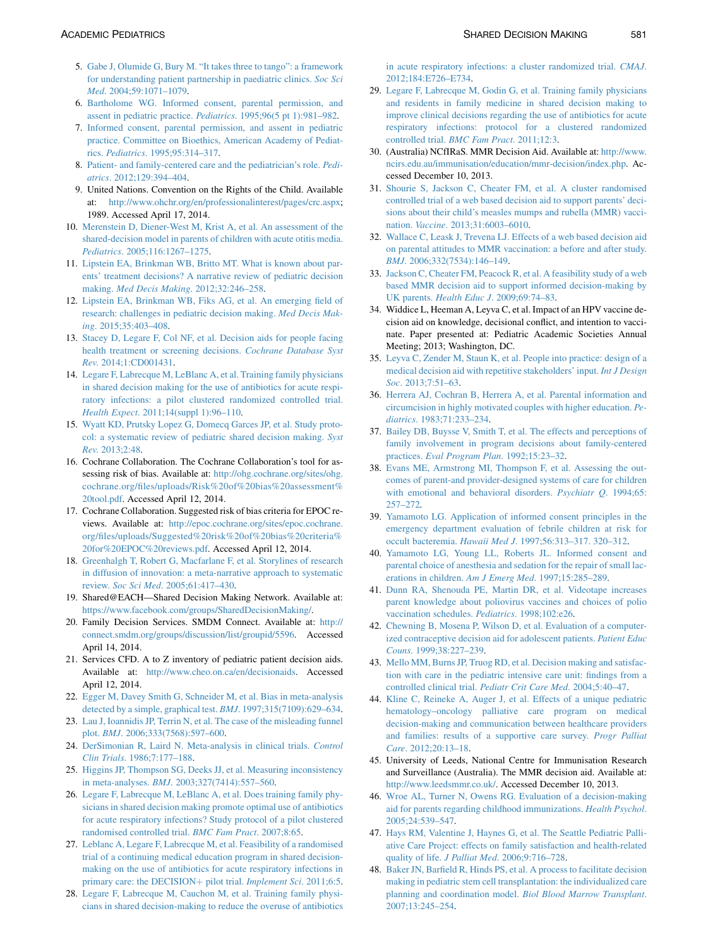- <span id="page-8-0"></span>5. [Gabe J, Olumide G, Bury M. "It takes three to tango": a framework](http://refhub.elsevier.com/S1876-2859(15)00082-0/sref5) [for understanding patient partnership in paediatric clinics.](http://refhub.elsevier.com/S1876-2859(15)00082-0/sref5) Soc Sci Med[. 2004;59:1071–1079](http://refhub.elsevier.com/S1876-2859(15)00082-0/sref5).
- 6. [Bartholome WG. Informed consent, parental permission, and](http://refhub.elsevier.com/S1876-2859(15)00082-0/sref6) [assent in pediatric practice.](http://refhub.elsevier.com/S1876-2859(15)00082-0/sref6) Pediatrics. 1995;96(5 pt 1):981–982.
- 7. [Informed consent, parental permission, and assent in pediatric](http://refhub.elsevier.com/S1876-2859(15)00082-0/sref7) [practice. Committee on Bioethics, American Academy of Pediat](http://refhub.elsevier.com/S1876-2859(15)00082-0/sref7)rics. Pediatrics[. 1995;95:314–317](http://refhub.elsevier.com/S1876-2859(15)00082-0/sref7).
- 8. [Patient- and family-centered care and the pediatrician's role.](http://refhub.elsevier.com/S1876-2859(15)00082-0/sref8) Pediatrics[. 2012;129:394–404](http://refhub.elsevier.com/S1876-2859(15)00082-0/sref8).
- 9. United Nations. Convention on the Rights of the Child. Available at: <http://www.ohchr.org/en/professionalinterest/pages/crc.aspx>; 1989. Accessed April 17, 2014.
- 10. [Merenstein D, Diener-West M, Krist A, et al. An assessment of the](http://refhub.elsevier.com/S1876-2859(15)00082-0/sref10) [shared-decision model in parents of children with acute otitis media.](http://refhub.elsevier.com/S1876-2859(15)00082-0/sref10) Pediatrics[. 2005;116:1267–1275.](http://refhub.elsevier.com/S1876-2859(15)00082-0/sref10)
- 11. [Lipstein EA, Brinkman WB, Britto MT. What is known about par](http://refhub.elsevier.com/S1876-2859(15)00082-0/sref11)[ents' treatment decisions? A narrative review of pediatric decision](http://refhub.elsevier.com/S1876-2859(15)00082-0/sref11) making. [Med Decis Making](http://refhub.elsevier.com/S1876-2859(15)00082-0/sref11). 2012;32:246–258.
- 12. [Lipstein EA, Brinkman WB, Fiks AG, et al. An emerging field of](http://refhub.elsevier.com/S1876-2859(15)00082-0/sref12) [research: challenges in pediatric decision making.](http://refhub.elsevier.com/S1876-2859(15)00082-0/sref12) Med Decis Making[. 2015;35:403–408.](http://refhub.elsevier.com/S1876-2859(15)00082-0/sref12)
- 13. [Stacey D, Legare F, Col NF, et al. Decision aids for people facing](http://refhub.elsevier.com/S1876-2859(15)00082-0/sref13) [health treatment or screening decisions.](http://refhub.elsevier.com/S1876-2859(15)00082-0/sref13) Cochrane Database Syst Rev[. 2014;1:CD001431.](http://refhub.elsevier.com/S1876-2859(15)00082-0/sref13)
- 14. [Legare F, Labrecque M, LeBlanc A, et al. Training family physicians](http://refhub.elsevier.com/S1876-2859(15)00082-0/sref14) [in shared decision making for the use of antibiotics for acute respi](http://refhub.elsevier.com/S1876-2859(15)00082-0/sref14)[ratory infections: a pilot clustered randomized controlled trial.](http://refhub.elsevier.com/S1876-2859(15)00082-0/sref14) Health Expect[. 2011;14\(suppl 1\):96–110.](http://refhub.elsevier.com/S1876-2859(15)00082-0/sref14)
- 15. [Wyatt KD, Prutsky Lopez G, Domecq Garces JP, et al. Study proto](http://refhub.elsevier.com/S1876-2859(15)00082-0/sref15)[col: a systematic review of pediatric shared decision making.](http://refhub.elsevier.com/S1876-2859(15)00082-0/sref15) Syst Rev[. 2013;2:48](http://refhub.elsevier.com/S1876-2859(15)00082-0/sref15).
- 16. Cochrane Collaboration. The Cochrane Collaboration's tool for assessing risk of bias. Available at: [http://ohg.cochrane.org/sites/ohg.](http://ohg.cochrane.org/sites/ohg.cochrane.org/files/uploads/Risk%20of%20bias%20assessment%20tool.pdf) [cochrane.org/files/uploads/Risk%20of%20bias%20assessment%](http://ohg.cochrane.org/sites/ohg.cochrane.org/files/uploads/Risk%20of%20bias%20assessment%20tool.pdf) [20tool.pdf](http://ohg.cochrane.org/sites/ohg.cochrane.org/files/uploads/Risk%20of%20bias%20assessment%20tool.pdf). Accessed April 12, 2014.
- 17. Cochrane Collaboration. Suggested risk of bias criteria for EPOC reviews. Available at: [http://epoc.cochrane.org/sites/epoc.cochrane.](http://epoc.cochrane.org/sites/epoc.cochrane.org/files/uploads/Suggested%20risk%20of%20bias%20criteria%20for%20EPOC%20reviews.pdf) [org/files/uploads/Suggested%20risk%20of%20bias%20criteria%](http://epoc.cochrane.org/sites/epoc.cochrane.org/files/uploads/Suggested%20risk%20of%20bias%20criteria%20for%20EPOC%20reviews.pdf) [20for%20EPOC%20reviews.pdf.](http://epoc.cochrane.org/sites/epoc.cochrane.org/files/uploads/Suggested%20risk%20of%20bias%20criteria%20for%20EPOC%20reviews.pdf) Accessed April 12, 2014.
- 18. [Greenhalgh T, Robert G, Macfarlane F, et al. Storylines of research](http://refhub.elsevier.com/S1876-2859(15)00082-0/sref16) [in diffusion of innovation: a meta-narrative approach to systematic](http://refhub.elsevier.com/S1876-2859(15)00082-0/sref16) review. Soc Sci Med[. 2005;61:417–430](http://refhub.elsevier.com/S1876-2859(15)00082-0/sref16).
- 19. Shared@EACH—Shared Decision Making Network. Available at: <https://www.facebook.com/groups/SharedDecisionMaking/>.
- 20. Family Decision Services. SMDM Connect. Available at: [http://](http://connect.smdm.org/groups/discussion/list/groupid/5596) [connect.smdm.org/groups/discussion/list/groupid/5596](http://connect.smdm.org/groups/discussion/list/groupid/5596). Accessed April 14, 2014.
- 21. Services CFD. A to Z inventory of pediatric patient decision aids. Available at: <http://www.cheo.on.ca/en/decisionaids>. Accessed April 12, 2014.
- 22. [Egger M, Davey Smith G, Schneider M, et al. Bias in meta-analysis](http://refhub.elsevier.com/S1876-2859(15)00082-0/sref17) [detected by a simple, graphical test.](http://refhub.elsevier.com/S1876-2859(15)00082-0/sref17) BMJ. 1997;315(7109):629–634.
- 23. [Lau J, Ioannidis JP, Terrin N, et al. The case of the misleading funnel](http://refhub.elsevier.com/S1876-2859(15)00082-0/sref18) plot. BMJ[. 2006;333\(7568\):597–600](http://refhub.elsevier.com/S1876-2859(15)00082-0/sref18).
- 24. [DerSimonian R, Laird N. Meta-analysis in clinical trials.](http://refhub.elsevier.com/S1876-2859(15)00082-0/sref19) Control Clin Trials[. 1986;7:177–188.](http://refhub.elsevier.com/S1876-2859(15)00082-0/sref19)
- 25. [Higgins JP, Thompson SG, Deeks JJ, et al. Measuring inconsistency](http://refhub.elsevier.com/S1876-2859(15)00082-0/sref20) in meta-analyses. BMJ[. 2003;327\(7414\):557–560.](http://refhub.elsevier.com/S1876-2859(15)00082-0/sref20)
- 26. [Legare F, Labrecque M, LeBlanc A, et al. Does training family phy](http://refhub.elsevier.com/S1876-2859(15)00082-0/sref21)[sicians in shared decision making promote optimal use of antibiotics](http://refhub.elsevier.com/S1876-2859(15)00082-0/sref21) [for acute respiratory infections? Study protocol of a pilot clustered](http://refhub.elsevier.com/S1876-2859(15)00082-0/sref21) [randomised controlled trial.](http://refhub.elsevier.com/S1876-2859(15)00082-0/sref21) BMC Fam Pract. 2007;8:65.
- 27. [Leblanc A, Legare F, Labrecque M, et al. Feasibility of a randomised](http://refhub.elsevier.com/S1876-2859(15)00082-0/sref22) [trial of a continuing medical education program in shared decision](http://refhub.elsevier.com/S1876-2859(15)00082-0/sref22)[making on the use of antibiotics for acute respiratory infections in](http://refhub.elsevier.com/S1876-2859(15)00082-0/sref22) [primary care: the DECISION](http://refhub.elsevier.com/S1876-2859(15)00082-0/sref22)+ pilot trial. [Implement Sci](http://refhub.elsevier.com/S1876-2859(15)00082-0/sref22). 2011;6:5.
- 28. [Legare F, Labrecque M, Cauchon M, et al. Training family physi](http://refhub.elsevier.com/S1876-2859(15)00082-0/sref23)[cians in shared decision-making to reduce the overuse of antibiotics](http://refhub.elsevier.com/S1876-2859(15)00082-0/sref23)

[in acute respiratory infections: a cluster randomized trial.](http://refhub.elsevier.com/S1876-2859(15)00082-0/sref23) CMAJ. [2012;184:E726–E734](http://refhub.elsevier.com/S1876-2859(15)00082-0/sref23).

- 29. [Legare F, Labrecque M, Godin G, et al. Training family physicians](http://refhub.elsevier.com/S1876-2859(15)00082-0/sref24) [and residents in family medicine in shared decision making to](http://refhub.elsevier.com/S1876-2859(15)00082-0/sref24) [improve clinical decisions regarding the use of antibiotics for acute](http://refhub.elsevier.com/S1876-2859(15)00082-0/sref24) [respiratory infections: protocol for a clustered randomized](http://refhub.elsevier.com/S1876-2859(15)00082-0/sref24) controlled trial. [BMC Fam Pract](http://refhub.elsevier.com/S1876-2859(15)00082-0/sref24). 2011;12:3.
- 30. (Australia) NCfIRaS. MMR Decision Aid. Available at: [http://www.](http://www.ncirs.edu.au/immunisation/education/mmr-decision/index.php) [ncirs.edu.au/immunisation/education/mmr-decision/index.php](http://www.ncirs.edu.au/immunisation/education/mmr-decision/index.php). Accessed December 10, 2013.
- 31. [Shourie S, Jackson C, Cheater FM, et al. A cluster randomised](http://refhub.elsevier.com/S1876-2859(15)00082-0/sref25) [controlled trial of a web based decision aid to support parents' deci](http://refhub.elsevier.com/S1876-2859(15)00082-0/sref25)[sions about their child's measles mumps and rubella \(MMR\) vacci](http://refhub.elsevier.com/S1876-2859(15)00082-0/sref25)nation. Vaccine[. 2013;31:6003–6010.](http://refhub.elsevier.com/S1876-2859(15)00082-0/sref25)
- 32. [Wallace C, Leask J, Trevena LJ. Effects of a web based decision aid](http://refhub.elsevier.com/S1876-2859(15)00082-0/sref26) [on parental attitudes to MMR vaccination: a before and after study.](http://refhub.elsevier.com/S1876-2859(15)00082-0/sref26) BMJ[. 2006;332\(7534\):146–149.](http://refhub.elsevier.com/S1876-2859(15)00082-0/sref26)
- 33. [Jackson C, Cheater FM, Peacock R, et al. A feasibility study of a web](http://refhub.elsevier.com/S1876-2859(15)00082-0/sref27) [based MMR decision aid to support informed decision-making by](http://refhub.elsevier.com/S1876-2859(15)00082-0/sref27) UK parents. Health Educ J[. 2009;69:74–83.](http://refhub.elsevier.com/S1876-2859(15)00082-0/sref27)
- 34. Widdice L, Heeman A, Leyva C, et al. Impact of an HPV vaccine decision aid on knowledge, decisional conflict, and intention to vaccinate. Paper presented at: Pediatric Academic Societies Annual Meeting; 2013; Washington, DC.
- 35. [Leyva C, Zender M, Staun K, et al. People into practice: design of a](http://refhub.elsevier.com/S1876-2859(15)00082-0/sref28) [medical decision aid with repetitive stakeholders' input.](http://refhub.elsevier.com/S1876-2859(15)00082-0/sref28) Int J Design Soc. 2013:7:51–63.
- 36. [Herrera AJ, Cochran B, Herrera A, et al. Parental information and](http://refhub.elsevier.com/S1876-2859(15)00082-0/sref29) [circumcision in highly motivated couples with higher education.](http://refhub.elsevier.com/S1876-2859(15)00082-0/sref29) Pediatrics[. 1983;71:233–234.](http://refhub.elsevier.com/S1876-2859(15)00082-0/sref29)
- 37. [Bailey DB, Buysse V, Smith T, et al. The effects and perceptions of](http://refhub.elsevier.com/S1876-2859(15)00082-0/sref30) [family involvement in program decisions about family-centered](http://refhub.elsevier.com/S1876-2859(15)00082-0/sref30) practices. [Eval Program Plan](http://refhub.elsevier.com/S1876-2859(15)00082-0/sref30). 1992;15:23–32.
- 38. [Evans ME, Armstrong MI, Thompson F, et al. Assessing the out](http://refhub.elsevier.com/S1876-2859(15)00082-0/sref31)[comes of parent-and provider-designed systems of care for children](http://refhub.elsevier.com/S1876-2859(15)00082-0/sref31) [with emotional and behavioral disorders.](http://refhub.elsevier.com/S1876-2859(15)00082-0/sref31) Psychiatr Q. 1994;65: [257–272.](http://refhub.elsevier.com/S1876-2859(15)00082-0/sref31)
- 39. [Yamamoto LG. Application of informed consent principles in the](http://refhub.elsevier.com/S1876-2859(15)00082-0/sref32) [emergency department evaluation of febrile children at risk for](http://refhub.elsevier.com/S1876-2859(15)00082-0/sref32) occult bacteremia. Hawaii Med J[. 1997;56:313–317. 320–312](http://refhub.elsevier.com/S1876-2859(15)00082-0/sref32).
- 40. [Yamamoto LG, Young LL, Roberts JL. Informed consent and](http://refhub.elsevier.com/S1876-2859(15)00082-0/sref33) [parental choice of anesthesia and sedation for the repair of small lac](http://refhub.elsevier.com/S1876-2859(15)00082-0/sref33)[erations in children.](http://refhub.elsevier.com/S1876-2859(15)00082-0/sref33) Am J Emerg Med. 1997;15:285–289.
- 41. [Dunn RA, Shenouda PE, Martin DR, et al. Videotape increases](http://refhub.elsevier.com/S1876-2859(15)00082-0/sref34) [parent knowledge about poliovirus vaccines and choices of polio](http://refhub.elsevier.com/S1876-2859(15)00082-0/sref34) [vaccination schedules.](http://refhub.elsevier.com/S1876-2859(15)00082-0/sref34) Pediatrics. 1998;102:e26.
- 42. [Chewning B, Mosena P, Wilson D, et al. Evaluation of a computer](http://refhub.elsevier.com/S1876-2859(15)00082-0/sref35)[ized contraceptive decision aid for adolescent patients.](http://refhub.elsevier.com/S1876-2859(15)00082-0/sref35) Patient Educ Couns[. 1999;38:227–239.](http://refhub.elsevier.com/S1876-2859(15)00082-0/sref35)
- 43. [Mello MM, Burns JP, Truog RD, et al. Decision making and satisfac](http://refhub.elsevier.com/S1876-2859(15)00082-0/sref36)[tion with care in the pediatric intensive care unit: findings from a](http://refhub.elsevier.com/S1876-2859(15)00082-0/sref36) [controlled clinical trial.](http://refhub.elsevier.com/S1876-2859(15)00082-0/sref36) Pediatr Crit Care Med. 2004;5:40–47.
- 44. [Kline C, Reineke A, Auger J, et al. Effects of a unique pediatric](http://refhub.elsevier.com/S1876-2859(15)00082-0/sref37) [hematology–oncology palliative care program on medical](http://refhub.elsevier.com/S1876-2859(15)00082-0/sref37) [decision-making and communication between healthcare providers](http://refhub.elsevier.com/S1876-2859(15)00082-0/sref37) [and families: results of a supportive care survey.](http://refhub.elsevier.com/S1876-2859(15)00082-0/sref37) Progr Palliat Care[. 2012;20:13–18](http://refhub.elsevier.com/S1876-2859(15)00082-0/sref37).
- 45. University of Leeds, National Centre for Immunisation Research and Surveillance (Australia). The MMR decision aid. Available at: [http://www.leedsmmr.co.uk/.](http://www.leedsmmr.co.uk/) Accessed December 10, 2013.
- 46. [Wroe AL, Turner N, Owens RG. Evaluation of a decision-making](http://refhub.elsevier.com/S1876-2859(15)00082-0/sref38) [aid for parents regarding childhood immunizations.](http://refhub.elsevier.com/S1876-2859(15)00082-0/sref38) Health Psychol. [2005;24:539–547](http://refhub.elsevier.com/S1876-2859(15)00082-0/sref38).
- 47. [Hays RM, Valentine J, Haynes G, et al. The Seattle Pediatric Palli](http://refhub.elsevier.com/S1876-2859(15)00082-0/sref39)[ative Care Project: effects on family satisfaction and health-related](http://refhub.elsevier.com/S1876-2859(15)00082-0/sref39) quality of life. J Palliat Med. 2006;9:716-728.
- 48. [Baker JN, Barfield R, Hinds PS, et al. A process to facilitate decision](http://refhub.elsevier.com/S1876-2859(15)00082-0/sref40) [making in pediatric stem cell transplantation: the individualized care](http://refhub.elsevier.com/S1876-2859(15)00082-0/sref40) [planning and coordination model.](http://refhub.elsevier.com/S1876-2859(15)00082-0/sref40) Biol Blood Marrow Transplant. [2007;13:245–254](http://refhub.elsevier.com/S1876-2859(15)00082-0/sref40).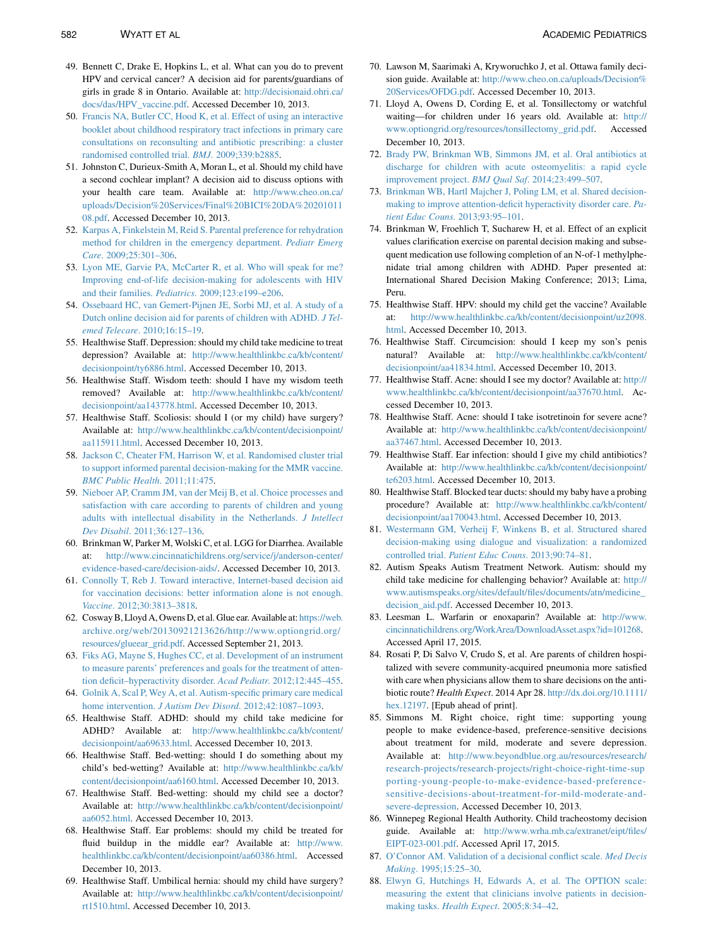- <span id="page-9-0"></span>49. Bennett C, Drake E, Hopkins L, et al. What can you do to prevent HPV and cervical cancer? A decision aid for parents/guardians of girls in grade 8 in Ontario. Available at: [http://decisionaid.ohri.ca/](http://decisionaid.ohri.ca/docs/das/HPV_vaccine.pdf) [docs/das/HPV\\_vaccine.pdf](http://decisionaid.ohri.ca/docs/das/HPV_vaccine.pdf). Accessed December 10, 2013.
- 50. [Francis NA, Butler CC, Hood K, et al. Effect of using an interactive](http://refhub.elsevier.com/S1876-2859(15)00082-0/sref41) [booklet about childhood respiratory tract infections in primary care](http://refhub.elsevier.com/S1876-2859(15)00082-0/sref41) [consultations on reconsulting and antibiotic prescribing: a cluster](http://refhub.elsevier.com/S1876-2859(15)00082-0/sref41) [randomised controlled trial.](http://refhub.elsevier.com/S1876-2859(15)00082-0/sref41) BMJ. 2009;339:b2885.
- 51. Johnston C, Durieux-Smith A, Moran L, et al. Should my child have a second cochlear implant? A decision aid to discuss options with your health care team. Available at: [http://www.cheo.on.ca/](http://www.cheo.on.ca/uploads/Decision%20Services/Final%20BICI%20DA%2020101108.pdf) [uploads/Decision%20Services/Final%20BICI%20DA%20201011](http://www.cheo.on.ca/uploads/Decision%20Services/Final%20BICI%20DA%2020101108.pdf) [08.pdf.](http://www.cheo.on.ca/uploads/Decision%20Services/Final%20BICI%20DA%2020101108.pdf) Accessed December 10, 2013.
- 52. [Karpas A, Finkelstein M, Reid S. Parental preference for rehydration](http://refhub.elsevier.com/S1876-2859(15)00082-0/sref42) [method for children in the emergency department.](http://refhub.elsevier.com/S1876-2859(15)00082-0/sref42) Pediatr Emerg Care[. 2009;25:301–306](http://refhub.elsevier.com/S1876-2859(15)00082-0/sref42).
- 53. [Lyon ME, Garvie PA, McCarter R, et al. Who will speak for me?](http://refhub.elsevier.com/S1876-2859(15)00082-0/sref43) [Improving end-of-life decision-making for adolescents with HIV](http://refhub.elsevier.com/S1876-2859(15)00082-0/sref43) and their families. Pediatrics[. 2009;123:e199–e206](http://refhub.elsevier.com/S1876-2859(15)00082-0/sref43).
- 54. [Ossebaard HC, van Gemert-Pijnen JE, Sorbi MJ, et al. A study of a](http://refhub.elsevier.com/S1876-2859(15)00082-0/sref44) [Dutch online decision aid for parents of children with ADHD.](http://refhub.elsevier.com/S1876-2859(15)00082-0/sref44) J Telemed Telecare[. 2010;16:15–19.](http://refhub.elsevier.com/S1876-2859(15)00082-0/sref44)
- 55. Healthwise Staff. Depression: should my child take medicine to treat depression? Available at: [http://www.healthlinkbc.ca/kb/content/](http://www.healthlinkbc.ca/kb/content/decisionpoint/ty6886.html) [decisionpoint/ty6886.html](http://www.healthlinkbc.ca/kb/content/decisionpoint/ty6886.html). Accessed December 10, 2013.
- 56. Healthwise Staff. Wisdom teeth: should I have my wisdom teeth removed? Available at: [http://www.healthlinkbc.ca/kb/content/](http://www.healthlinkbc.ca/kb/content/decisionpoint/aa143778.html) [decisionpoint/aa143778.html.](http://www.healthlinkbc.ca/kb/content/decisionpoint/aa143778.html) Accessed December 10, 2013.
- 57. Healthwise Staff. Scoliosis: should I (or my child) have surgery? Available at: [http://www.healthlinkbc.ca/kb/content/decisionpoint/](http://www.healthlinkbc.ca/kb/content/decisionpoint/aa115911.html) [aa115911.html.](http://www.healthlinkbc.ca/kb/content/decisionpoint/aa115911.html) Accessed December 10, 2013.
- 58. [Jackson C, Cheater FM, Harrison W, et al. Randomised cluster trial](http://refhub.elsevier.com/S1876-2859(15)00082-0/sref45) [to support informed parental decision-making for the MMR vaccine.](http://refhub.elsevier.com/S1876-2859(15)00082-0/sref45) [BMC Public Health](http://refhub.elsevier.com/S1876-2859(15)00082-0/sref45). 2011;11:475.
- 59. [Nieboer AP, Cramm JM, van der Meij B, et al. Choice processes and](http://refhub.elsevier.com/S1876-2859(15)00082-0/sref46) [satisfaction with care according to parents of children and young](http://refhub.elsevier.com/S1876-2859(15)00082-0/sref46) [adults with intellectual disability in the Netherlands.](http://refhub.elsevier.com/S1876-2859(15)00082-0/sref46) J Intellect Dev Disabil[. 2011;36:127–136.](http://refhub.elsevier.com/S1876-2859(15)00082-0/sref46)
- 60. Brinkman W, Parker M, Wolski C, et al. LGG for Diarrhea. Available at: [http://www.cincinnatichildrens.org/service/j/anderson-center/](http://www.cincinnatichildrens.org/service/j/anderson-center/evidence-based-care/decision-aids/) [evidence-based-care/decision-aids/.](http://www.cincinnatichildrens.org/service/j/anderson-center/evidence-based-care/decision-aids/) Accessed December 10, 2013.
- 61. [Connolly T, Reb J. Toward interactive, Internet-based decision aid](http://refhub.elsevier.com/S1876-2859(15)00082-0/sref47) [for vaccination decisions: better information alone is not enough.](http://refhub.elsevier.com/S1876-2859(15)00082-0/sref47) Vaccine[. 2012;30:3813–3818](http://refhub.elsevier.com/S1876-2859(15)00082-0/sref47).
- 62. Cosway B, Lloyd A, Owens D, et al. Glue ear. Available at: [https://web.](https://web.archive.org/web/20130921213626/http://www.optiongrid.org/resources/glueear_grid.pdf) [archive.org/web/20130921213626/http://www.optiongrid.org/](https://web.archive.org/web/20130921213626/http://www.optiongrid.org/resources/glueear_grid.pdf) [resources/glueear\\_grid.pdf.](https://web.archive.org/web/20130921213626/http://www.optiongrid.org/resources/glueear_grid.pdf) Accessed September 21, 2013.
- 63. [Fiks AG, Mayne S, Hughes CC, et al. Development of an instrument](http://refhub.elsevier.com/S1876-2859(15)00082-0/sref48) [to measure parents' preferences and goals for the treatment of atten](http://refhub.elsevier.com/S1876-2859(15)00082-0/sref48)tion deficit-hyperactivity disorder. Acad Pediatr. 2012;12:445-455.
- 64. [Golnik A, Scal P, Wey A, et al. Autism-specific primary care medical](http://refhub.elsevier.com/S1876-2859(15)00082-0/sref49) home intervention. *J Autism Dev Disord*. 2012;42:1087-1093.
- 65. Healthwise Staff. ADHD: should my child take medicine for ADHD? Available at: [http://www.healthlinkbc.ca/kb/content/](http://www.healthlinkbc.ca/kb/content/decisionpoint/aa69633.html) [decisionpoint/aa69633.html.](http://www.healthlinkbc.ca/kb/content/decisionpoint/aa69633.html) Accessed December 10, 2013.
- 66. Healthwise Staff. Bed-wetting: should I do something about my child's bed-wetting? Available at: [http://www.healthlinkbc.ca/kb/](http://www.healthlinkbc.ca/kb/content/decisionpoint/aa6160.html) [content/decisionpoint/aa6160.html.](http://www.healthlinkbc.ca/kb/content/decisionpoint/aa6160.html) Accessed December 10, 2013.
- 67. Healthwise Staff. Bed-wetting: should my child see a doctor? Available at: [http://www.healthlinkbc.ca/kb/content/decisionpoint/](http://www.healthlinkbc.ca/kb/content/decisionpoint/aa6052.html) [aa6052.html.](http://www.healthlinkbc.ca/kb/content/decisionpoint/aa6052.html) Accessed December 10, 2013.
- 68. Healthwise Staff. Ear problems: should my child be treated for fluid buildup in the middle ear? Available at: [http://www.](http://www.healthlinkbc.ca/kb/content/decisionpoint/aa60386.html) [healthlinkbc.ca/kb/content/decisionpoint/aa60386.html.](http://www.healthlinkbc.ca/kb/content/decisionpoint/aa60386.html) Accessed December 10, 2013.
- 69. Healthwise Staff. Umbilical hernia: should my child have surgery? Available at: [http://www.healthlinkbc.ca/kb/content/decisionpoint/](http://www.healthlinkbc.ca/kb/content/decisionpoint/rt1510.html) [rt1510.html.](http://www.healthlinkbc.ca/kb/content/decisionpoint/rt1510.html) Accessed December 10, 2013.
- 70. Lawson M, Saarimaki A, Kryworuchko J, et al. Ottawa family decision guide. Available at: [http://www.cheo.on.ca/uploads/Decision%](http://www.cheo.on.ca/uploads/Decision%20Services/OFDG.pdf) [20Services/OFDG.pdf](http://www.cheo.on.ca/uploads/Decision%20Services/OFDG.pdf). Accessed December 10, 2013.
- 71. Lloyd A, Owens D, Cording E, et al. Tonsillectomy or watchful waiting—for children under 16 years old. Available at: [http://](http://www.optiongrid.org/resources/tonsillectomy_grid.pdf) [www.optiongrid.org/resources/tonsillectomy\\_grid.pdf.](http://www.optiongrid.org/resources/tonsillectomy_grid.pdf) Accessed December 10, 2013.
- 72. [Brady PW, Brinkman WB, Simmons JM, et al. Oral antibiotics at](http://refhub.elsevier.com/S1876-2859(15)00082-0/sref50) [discharge for children with acute osteomyelitis: a rapid cycle](http://refhub.elsevier.com/S1876-2859(15)00082-0/sref50) [improvement project.](http://refhub.elsevier.com/S1876-2859(15)00082-0/sref50) BMJ Qual Saf. 2014;23:499–507.
- 73. [Brinkman WB, Hartl Majcher J, Poling LM, et al. Shared decision](http://refhub.elsevier.com/S1876-2859(15)00082-0/sref51)[making to improve attention-deficit hyperactivity disorder care.](http://refhub.elsevier.com/S1876-2859(15)00082-0/sref51) Patient Educ Couns[. 2013;93:95–101.](http://refhub.elsevier.com/S1876-2859(15)00082-0/sref51)
- 74. Brinkman W, Froehlich T, Sucharew H, et al. Effect of an explicit values clarification exercise on parental decision making and subsequent medication use following completion of an N-of-1 methylphenidate trial among children with ADHD. Paper presented at: International Shared Decision Making Conference; 2013; Lima, Peru.
- 75. Healthwise Staff. HPV: should my child get the vaccine? Available at: [http://www.healthlinkbc.ca/kb/content/decisionpoint/uz2098.](http://www.healthlinkbc.ca/kb/content/decisionpoint/uz2098.html) [html.](http://www.healthlinkbc.ca/kb/content/decisionpoint/uz2098.html) Accessed December 10, 2013.
- 76. Healthwise Staff. Circumcision: should I keep my son's penis natural? Available at: [http://www.healthlinkbc.ca/kb/content/](http://www.healthlinkbc.ca/kb/content/decisionpoint/aa41834.html) [decisionpoint/aa41834.html.](http://www.healthlinkbc.ca/kb/content/decisionpoint/aa41834.html) Accessed December 10, 2013.
- 77. Healthwise Staff. Acne: should I see my doctor? Available at: [http://](http://www.healthlinkbc.ca/kb/content/decisionpoint/aa37670.html) [www.healthlinkbc.ca/kb/content/decisionpoint/aa37670.html](http://www.healthlinkbc.ca/kb/content/decisionpoint/aa37670.html). Accessed December 10, 2013.
- 78. Healthwise Staff. Acne: should I take isotretinoin for severe acne? Available at: [http://www.healthlinkbc.ca/kb/content/decisionpoint/](http://www.healthlinkbc.ca/kb/content/decisionpoint/aa37467.html) [aa37467.html.](http://www.healthlinkbc.ca/kb/content/decisionpoint/aa37467.html) Accessed December 10, 2013.
- 79. Healthwise Staff. Ear infection: should I give my child antibiotics? Available at: [http://www.healthlinkbc.ca/kb/content/decisionpoint/](http://www.healthlinkbc.ca/kb/content/decisionpoint/te6203.html) [te6203.html.](http://www.healthlinkbc.ca/kb/content/decisionpoint/te6203.html) Accessed December 10, 2013.
- 80. Healthwise Staff. Blocked tear ducts: should my baby have a probing procedure? Available at: [http://www.healthlinkbc.ca/kb/content/](http://www.healthlinkbc.ca/kb/content/decisionpoint/aa170043.html) [decisionpoint/aa170043.html.](http://www.healthlinkbc.ca/kb/content/decisionpoint/aa170043.html) Accessed December 10, 2013.
- 81. [Westermann GM, Verheij F, Winkens B, et al. Structured shared](http://refhub.elsevier.com/S1876-2859(15)00082-0/sref52) [decision-making using dialogue and visualization: a randomized](http://refhub.elsevier.com/S1876-2859(15)00082-0/sref52) controlled trial. [Patient Educ Couns](http://refhub.elsevier.com/S1876-2859(15)00082-0/sref52). 2013;90:74–81.
- 82. Autism Speaks Autism Treatment Network. Autism: should my child take medicine for challenging behavior? Available at: [http://](http://www.autismspeaks.org/sites/default/files/documents/atn/medicine_decision_aid.pdf) [www.autismspeaks.org/sites/default/files/documents/atn/medicine\\_](http://www.autismspeaks.org/sites/default/files/documents/atn/medicine_decision_aid.pdf) [decision\\_aid.pdf](http://www.autismspeaks.org/sites/default/files/documents/atn/medicine_decision_aid.pdf). Accessed December 10, 2013.
- 83. Leesman L. Warfarin or enoxaparin? Available at: [http://www.](http://www.cincinnatichildrens.org/WorkArea/DownloadAsset.aspx?id=101268) [cincinnatichildrens.org/WorkArea/DownloadAsset.aspx?id=101268.](http://www.cincinnatichildrens.org/WorkArea/DownloadAsset.aspx?id=101268) Accessed April 17, 2015.
- 84. Rosati P, Di Salvo V, Crudo S, et al. Are parents of children hospitalized with severe community-acquired pneumonia more satisfied with care when physicians allow them to share decisions on the antibiotic route? Health Expect. 2014 Apr 28. [http://dx.doi.org/10.1111/](http://dx.doi.org/10.1111/hex.12197) [hex.12197](http://dx.doi.org/10.1111/hex.12197). [Epub ahead of print].
- 85. Simmons M. Right choice, right time: supporting young people to make evidence-based, preference-sensitive decisions about treatment for mild, moderate and severe depression. Available at: [http://www.beyondblue.org.au/resources/research/](http://www.beyondblue.org.au/resources/research/research-projects/research-projects/right-choice-right-time-supporting-young-people-to-make-evidence-based-preference-sensitive-decisions-about-treatment-for-mild-moderate-and-severe-depression) [research-projects/research-projects/right-choice-right-time-sup](http://www.beyondblue.org.au/resources/research/research-projects/research-projects/right-choice-right-time-supporting-young-people-to-make-evidence-based-preference-sensitive-decisions-about-treatment-for-mild-moderate-and-severe-depression) [porting-young-people-to-make-evidence-based-preference](http://www.beyondblue.org.au/resources/research/research-projects/research-projects/right-choice-right-time-supporting-young-people-to-make-evidence-based-preference-sensitive-decisions-about-treatment-for-mild-moderate-and-severe-depression)[sensitive-decisions-about-treatment-for-mild-moderate-and](http://www.beyondblue.org.au/resources/research/research-projects/research-projects/right-choice-right-time-supporting-young-people-to-make-evidence-based-preference-sensitive-decisions-about-treatment-for-mild-moderate-and-severe-depression)[severe-depression](http://www.beyondblue.org.au/resources/research/research-projects/research-projects/right-choice-right-time-supporting-young-people-to-make-evidence-based-preference-sensitive-decisions-about-treatment-for-mild-moderate-and-severe-depression). Accessed December 10, 2013.
- 86. Winnepeg Regional Health Authority. Child tracheostomy decision guide. Available at: [http://www.wrha.mb.ca/extranet/eipt/files/](http://www.wrha.mb.ca/extranet/eipt/files/EIPT-023-001.pdf) [EIPT-023-001.pdf](http://www.wrha.mb.ca/extranet/eipt/files/EIPT-023-001.pdf). Accessed April 17, 2015.
- 87. [O'Connor AM. Validation of a decisional conflict scale.](http://refhub.elsevier.com/S1876-2859(15)00082-0/sref54) Med Decis Making[. 1995;15:25–30.](http://refhub.elsevier.com/S1876-2859(15)00082-0/sref54)
- 88. [Elwyn G, Hutchings H, Edwards A, et al. The OPTION scale:](http://refhub.elsevier.com/S1876-2859(15)00082-0/sref55) [measuring the extent that clinicians involve patients in decision](http://refhub.elsevier.com/S1876-2859(15)00082-0/sref55)making tasks. Health Expect[. 2005;8:34–42.](http://refhub.elsevier.com/S1876-2859(15)00082-0/sref55)